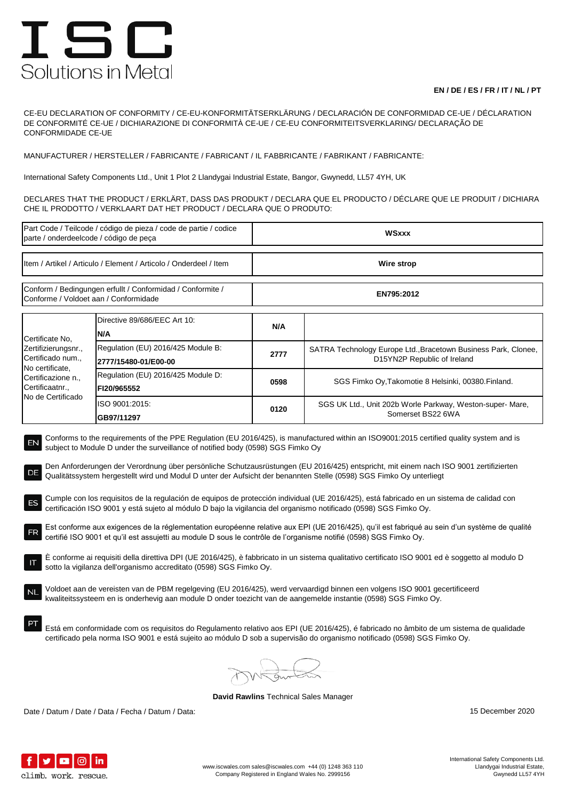## ISC Solutions in Metal

## **EN / DE / ES / FR / IT / NL / PT**

CE-EU DECLARATION OF CONFORMITY / CE-EU-KONFORMITÄTSERKLÄRUNG / DECLARACIÓN DE CONFORMIDAD CE-UE / DÉCLARATION DE CONFORMITÉ CE-UE / DICHIARAZIONE DI CONFORMITÀ CE-UE / CE-EU CONFORMITEITSVERKLARING/ DECLARAÇÃO DE CONFORMIDADE CE-UE

MANUFACTURER / HERSTELLER / FABRICANTE / FABRICANT / IL FABBRICANTE / FABRIKANT / FABRICANTE:

International Safety Components Ltd., Unit 1 Plot 2 Llandygai Industrial Estate, Bangor, Gwynedd, LL57 4YH, UK

DECLARES THAT THE PRODUCT / ERKLÄRT, DASS DAS PRODUKT / DECLARA QUE EL PRODUCTO / DÉCLARE QUE LE PRODUIT / DICHIARA CHE IL PRODOTTO / VERKLAART DAT HET PRODUCT / DECLARA QUE O PRODUTO:

| Part Code / Teilcode / código de pieza / code de partie / codice<br>parte / onderdeelcode / código de peça                                                                                                                                                                                                                                                                                                                                                                                                                                                                                                                                                                                                                                                                                                                                                                                                                                                                                                                                                                                                                                                                                                                                                                                                                                                                                                                                                                                                                                                                                                                                                                                                                                                                                             |                                                            | <b>WSxxx</b> |                                                                                               |  |  |
|--------------------------------------------------------------------------------------------------------------------------------------------------------------------------------------------------------------------------------------------------------------------------------------------------------------------------------------------------------------------------------------------------------------------------------------------------------------------------------------------------------------------------------------------------------------------------------------------------------------------------------------------------------------------------------------------------------------------------------------------------------------------------------------------------------------------------------------------------------------------------------------------------------------------------------------------------------------------------------------------------------------------------------------------------------------------------------------------------------------------------------------------------------------------------------------------------------------------------------------------------------------------------------------------------------------------------------------------------------------------------------------------------------------------------------------------------------------------------------------------------------------------------------------------------------------------------------------------------------------------------------------------------------------------------------------------------------------------------------------------------------------------------------------------------------|------------------------------------------------------------|--------------|-----------------------------------------------------------------------------------------------|--|--|
| Item / Artikel / Articulo / Element / Articolo / Onderdeel / Item                                                                                                                                                                                                                                                                                                                                                                                                                                                                                                                                                                                                                                                                                                                                                                                                                                                                                                                                                                                                                                                                                                                                                                                                                                                                                                                                                                                                                                                                                                                                                                                                                                                                                                                                      |                                                            | Wire strop   |                                                                                               |  |  |
| Conform / Bedingungen erfullt / Conformidad / Conformite /<br>Conforme / Voldoet aan / Conformidade                                                                                                                                                                                                                                                                                                                                                                                                                                                                                                                                                                                                                                                                                                                                                                                                                                                                                                                                                                                                                                                                                                                                                                                                                                                                                                                                                                                                                                                                                                                                                                                                                                                                                                    |                                                            | EN795:2012   |                                                                                               |  |  |
| Certificate No.<br>Zertifizierungsnr.,<br>Certificado num.,<br>No certificate,<br>Certificazione n.,<br>Certificaatnr.,<br>No de Certificado                                                                                                                                                                                                                                                                                                                                                                                                                                                                                                                                                                                                                                                                                                                                                                                                                                                                                                                                                                                                                                                                                                                                                                                                                                                                                                                                                                                                                                                                                                                                                                                                                                                           | Directive 89/686/EEC Art 10:<br>N/A                        | N/A          |                                                                                               |  |  |
|                                                                                                                                                                                                                                                                                                                                                                                                                                                                                                                                                                                                                                                                                                                                                                                                                                                                                                                                                                                                                                                                                                                                                                                                                                                                                                                                                                                                                                                                                                                                                                                                                                                                                                                                                                                                        | Regulation (EU) 2016/425 Module B:<br>2777/15480-01/E00-00 | 2777         | SATRA Technology Europe Ltd., Bracetown Business Park, Clonee,<br>D15YN2P Republic of Ireland |  |  |
|                                                                                                                                                                                                                                                                                                                                                                                                                                                                                                                                                                                                                                                                                                                                                                                                                                                                                                                                                                                                                                                                                                                                                                                                                                                                                                                                                                                                                                                                                                                                                                                                                                                                                                                                                                                                        | Regulation (EU) 2016/425 Module D:<br>FI20/965552          | 0598         | SGS Fimko Oy, Takomotie 8 Helsinki, 00380. Finland.                                           |  |  |
|                                                                                                                                                                                                                                                                                                                                                                                                                                                                                                                                                                                                                                                                                                                                                                                                                                                                                                                                                                                                                                                                                                                                                                                                                                                                                                                                                                                                                                                                                                                                                                                                                                                                                                                                                                                                        | ISO 9001:2015:<br>GB97/11297                               | 0120         | SGS UK Ltd., Unit 202b Worle Parkway, Weston-super- Mare,<br>Somerset BS22 6WA                |  |  |
| Conforms to the requirements of the PPE Regulation (EU 2016/425), is manufactured within an ISO9001:2015 certified quality system and is<br>EN<br>subject to Module D under the surveillance of notified body (0598) SGS Fimko Oy<br>Den Anforderungen der Verordnung über persönliche Schutzausrüstungen (EU 2016/425) entspricht, mit einem nach ISO 9001 zertifizierten<br>DE<br>Qualitätssystem hergestellt wird und Modul D unter der Aufsicht der benannten Stelle (0598) SGS Fimko Oy unterliegt<br>Cumple con los requisitos de la regulación de equipos de protección individual (UE 2016/425), está fabricado en un sistema de calidad con<br>certificación ISO 9001 y está sujeto al módulo D bajo la vigilancia del organismo notificado (0598) SGS Fimko Oy.<br>Est conforme aux exigences de la réglementation européenne relative aux EPI (UE 2016/425), qu'il est fabriqué au sein d'un système de qualité<br>FR<br>certifié ISO 9001 et qu'il est assujetti au module D sous le contrôle de l'organisme notifié (0598) SGS Fimko Oy.<br>E conforme ai requisiti della direttiva DPI (UE 2016/425), è fabbricato in un sistema qualitativo certificato ISO 9001 ed è soggetto al modulo D<br>sotto la vigilanza dell'organismo accreditato (0598) SGS Fimko Oy.<br>Voldoet aan de vereisten van de PBM regelgeving (EU 2016/425), werd vervaardigd binnen een volgens ISO 9001 gecertificeerd<br>kwaliteitssysteem en is onderhevig aan module D onder toezicht van de aangemelde instantie (0598) SGS Fimko Oy.<br>Está em conformidade com os requisitos do Regulamento relativo aos EPI (UE 2016/425), é fabricado no âmbito de um sistema de qualidade<br>certificado pela norma ISO 9001 e está sujeito ao módulo D sob a supervisão do organismo notificado (0598) SGS Fimko Oy. |                                                            |              |                                                                                               |  |  |
|                                                                                                                                                                                                                                                                                                                                                                                                                                                                                                                                                                                                                                                                                                                                                                                                                                                                                                                                                                                                                                                                                                                                                                                                                                                                                                                                                                                                                                                                                                                                                                                                                                                                                                                                                                                                        |                                                            |              |                                                                                               |  |  |

**David Rawlins** Technical Sales Manager

Date / Datum / Date / Data / Fecha / Datum / Data: 15 December 2020